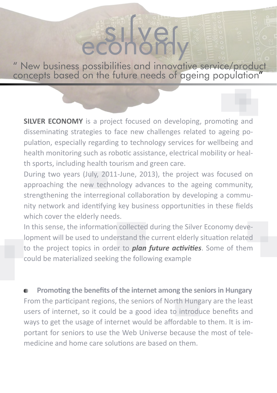" New business possibilities and innovative service/product concepts based on the future needs of ageing population"

**SILVER ECONOMY** is a project focused on developing, promoting and disseminating strategies to face new challenges related to ageing population, especially regarding to technology services for wellbeing and health monitoring such as robotic assistance, electrical mobility or health sports, including health tourism and green care.

During two years (July, 2011-June, 2013), the project was focused on approaching the new technology advances to the ageing community, strengthening the interregional collaboration by developing a community network and identifying key business opportunities in these fields which cover the elderly needs.

In this sense, the information collected during the Silver Economy development will be used to understand the current elderly situation related to the project topics in order to *plan future activities*. Some of them could be materialized seeking the following example

 **Promoting the benefits of the internet among the seniors in Hungary** From the participant regions, the seniors of North Hungary are the least users of internet, so it could be a good idea to introduce benefits and ways to get the usage of internet would be affordable to them. It is important for seniors to use the Web Universe because the most of telemedicine and home care solutions are based on them.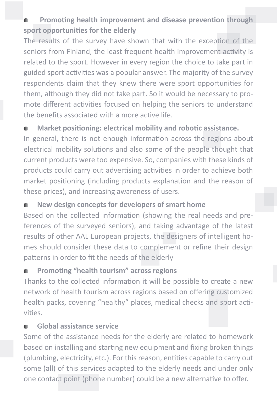## **Promoting health improvement and disease prevention through sport opportunities for the elderly**

The results of the survey have shown that with the exception of the seniors from Finland, the least frequent health improvement activity is related to the sport. However in every region the choice to take part in guided sport activities was a popular answer. The majority of the survey respondents claim that they knew there were sport opportunities for them, although they did not take part. So it would be necessary to promote different activities focused on helping the seniors to understand the benefits associated with a more active life.

### **Market positioning: electrical mobility and robotic assistance.**

In general, there is not enough information across the regions about electrical mobility solutions and also some of the people thought that current products were too expensive. So, companies with these kinds of products could carry out advertising activities in order to achieve both market positioning (including products explanation and the reason of these prices), and increasing awareness of users.

#### **New design concepts for developers of smart home**

Based on the collected information (showing the real needs and preferences of the surveyed seniors), and taking advantage of the latest results of other AAL European projects, the designers of intelligent homes should consider these data to complement or refine their design patterns in order to fit the needs of the elderly

#### **Promoting "health tourism" across regions**

Thanks to the collected information it will be possible to create a new network of health tourism across regions based on offering customized health packs, covering "healthy" places, medical checks and sport activities.

#### **Global assistance service**

Some of the assistance needs for the elderly are related to homework based on installing and starting new equipment and fixing broken things (plumbing, electricity, etc.). For this reason, entities capable to carry out some (all) of this services adapted to the elderly needs and under only one contact point (phone number) could be a new alternative to offer.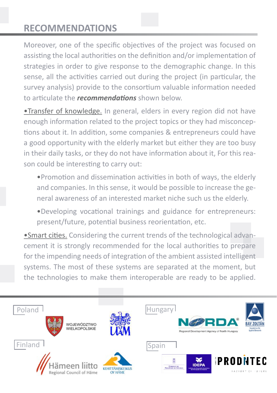# **RECOMMENDATIONS**

Moreover, one of the specific objectives of the project was focused on assisting the local authorities on the definition and/or implementation of strategies in order to give response to the demographic change. In this sense, all the activities carried out during the project (in particular, the survey analysis) provide to the consortium valuable information needed to articulate the *recommendations* shown below.

•Transfer of knowledge. In general, elders in every region did not have enough information related to the project topics or they had misconceptions about it. In addition, some companies & entrepreneurs could have a good opportunity with the elderly market but either they are too busy in their daily tasks, or they do not have information about it, For this reason could be interesting to carry out:

•Promotion and dissemination activities in both of ways, the elderly and companies. In this sense, it would be possible to increase the general awareness of an interested market niche such us the elderly.

•Developing vocational trainings and guidance for entrepreneurs: present/future, potential business reorientation, etc.

•Smart cities. Considering the current trends of the technological advancement it is strongly recommended for the local authorities to prepare for the impending needs of integration of the ambient assisted intelligent systems. The most of these systems are separated at the moment, but the technologies to make them interoperable are ready to be applied.